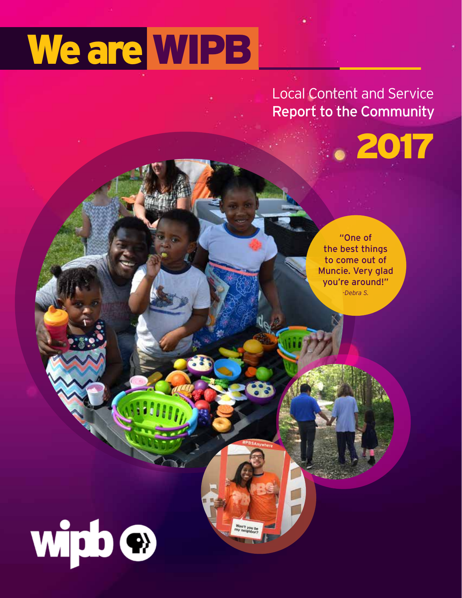# We are WIPB

### Local Content and Service Report to the Community

2017

"One of the best things to come out of Muncie. Very glad you're around!" *-Debra S.*

wipb<sup>o</sup>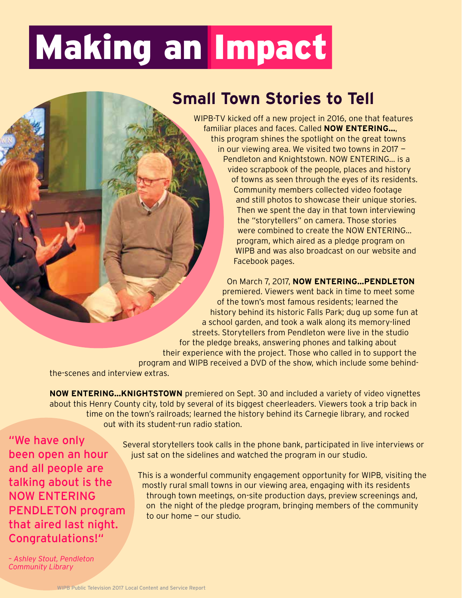## Making an Impact

### **Small Town Stories to Tell**

WIPB-TV kicked off a new project in 2016, one that features familiar places and faces. Called **NOW ENTERING…**, this program shines the spotlight on the great towns in our viewing area. We visited two towns in 2017 — Pendleton and Knightstown. NOW ENTERING… is a video scrapbook of the people, places and history of towns as seen through the eyes of its residents. Community members collected video footage and still photos to showcase their unique stories. Then we spent the day in that town interviewing the "storytellers" on camera. Those stories were combined to create the NOW ENTERING… program, which aired as a pledge program on WIPB and was also broadcast on our website and Facebook pages.

On March 7, 2017, **NOW ENTERING…PENDLETON** premiered. Viewers went back in time to meet some of the town's most famous residents; learned the history behind its historic Falls Park; dug up some fun at a school garden, and took a walk along its memory-lined streets. Storytellers from Pendleton were live in the studio for the pledge breaks, answering phones and talking about their experience with the project. Those who called in to support the program and WIPB received a DVD of the show, which include some behind-

the-scenes and interview extras.

**NOW ENTERING…KNIGHTSTOWN** premiered on Sept. 30 and included a variety of video vignettes about this Henry County city, told by several of its biggest cheerleaders. Viewers took a trip back in time on the town's railroads; learned the history behind its Carnegie library, and rocked out with its student-run radio station.

"We have only been open an hour and all people are talking about is the NOW ENTERING PENDLETON program that aired last night. Congratulations!"

 Several storytellers took calls in the phone bank, participated in live interviews or just sat on the sidelines and watched the program in our studio.

 This is a wonderful community engagement opportunity for WIPB, visiting the mostly rural small towns in our viewing area, engaging with its residents through town meetings, on-site production days, preview screenings and, on the night of the pledge program, bringing members of the community to our home — our studio.

*– Ashley Stout, Pendleton Community Library*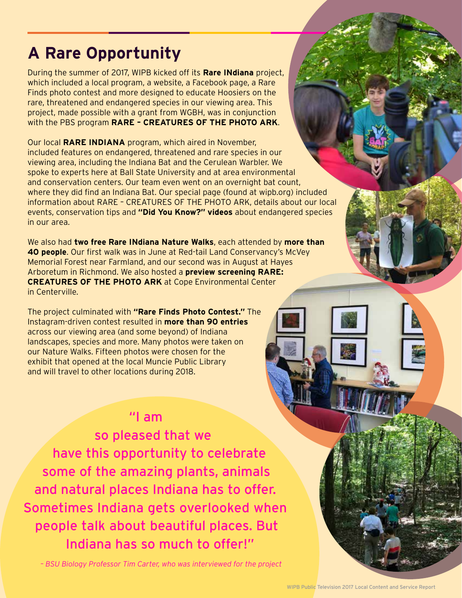### **A Rare Opportunity**

During the summer of 2017, WIPB kicked off its **Rare INdiana** project, which included a local program, a website, a Facebook page, a Rare Finds photo contest and more designed to educate Hoosiers on the rare, threatened and endangered species in our viewing area. This project, made possible with a grant from WGBH, was in conjunction with the PBS program **RARE – CREATURES OF THE PHOTO ARK**.

Our local **RARE INDIANA** program, which aired in November, included features on endangered, threatened and rare species in our viewing area, including the Indiana Bat and the Cerulean Warbler. We spoke to experts here at Ball State University and at area environmental and conservation centers. Our team even went on an overnight bat count, where they did find an Indiana Bat. Our special page (found at wipb.org) included information about RARE – CREATURES OF THE PHOTO ARK, details about our local events, conservation tips and **"Did You Know?" videos** about endangered species in our area.

We also had **two free Rare INdiana Nature Walks**, each attended by **more than 40 people**. Our first walk was in June at Red-tail Land Conservancy's McVey Memorial Forest near Farmland, and our second was in August at Hayes Arboretum in Richmond. We also hosted a **preview screening RARE: CREATURES OF THE PHOTO ARK** at Cope Environmental Center in Centerville.

The project culminated with **"Rare Finds Photo Contest."** The Instagram-driven contest resulted in **more than 90 entries**  across our viewing area (and some beyond) of Indiana landscapes, species and more. Many photos were taken on our Nature Walks. Fifteen photos were chosen for the exhibit that opened at the local Muncie Public Library and will travel to other locations during 2018.

#### "I am

so pleased that we have this opportunity to celebrate some of the amazing plants, animals and natural places Indiana has to offer. Sometimes Indiana gets overlooked when people talk about beautiful places. But Indiana has so much to offer!"

*– BSU Biology Professor Tim Carter, who was interviewed for the project*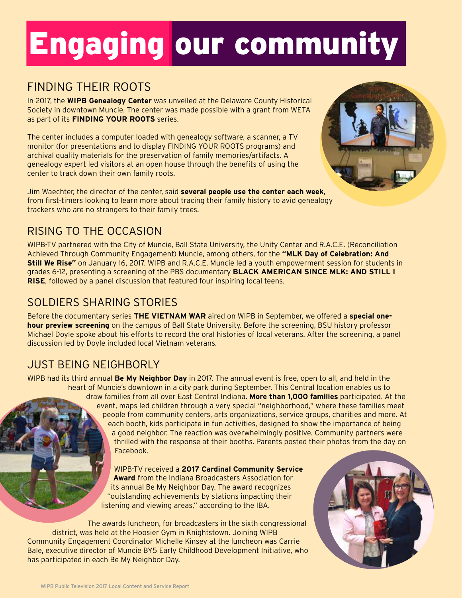## Engaging our community

#### FINDING THEIR ROOTS

In 2017, the **WIPB Genealogy Center** was unveiled at the Delaware County Historical Society in downtown Muncie. The center was made possible with a grant from WETA as part of its **FINDING YOUR ROOTS** series.

The center includes a computer loaded with genealogy software, a scanner, a TV monitor (for presentations and to display FINDING YOUR ROOTS programs) and archival quality materials for the preservation of family memories/artifacts. A genealogy expert led visitors at an open house through the benefits of using the center to track down their own family roots.

Jim Waechter, the director of the center, said **several people use the center each week**, from first-timers looking to learn more about tracing their family history to avid genealogy trackers who are no strangers to their family trees.

#### RISING TO THE OCCASION

WIPB-TV partnered with the City of Muncie, Ball State University, the Unity Center and R.A.C.E. (Reconciliation Achieved Through Community Engagement) Muncie, among others, for the **"MLK Day of Celebration: And Still We Rise"** on January 16, 2017. WIPB and R.A.C.E. Muncie led a youth empowerment session for students in grades 6-12, presenting a screening of the PBS documentary **BLACK AMERICAN SINCE MLK: AND STILL I RISE**, followed by a panel discussion that featured four inspiring local teens.

#### SOLDIERS SHARING STORIES

Before the documentary series **THE VIETNAM WAR** aired on WIPB in September, we offered a **special onehour preview screening** on the campus of Ball State University. Before the screening, BSU history professor Michael Doyle spoke about his efforts to record the oral histories of local veterans. After the screening, a panel discussion led by Doyle included local Vietnam veterans.

#### JUST BEING NEIGHBORLY

WIPB had its third annual **Be My Neighbor Day** in 2017. The annual event is free, open to all, and held in the heart of Muncie's downtown in a city park during September. This Central location enables us to draw families from all over East Central Indiana. **More than 1,000 families** participated. At the event, maps led children through a very special "neighborhood," where these families meet people from community centers, arts organizations, service groups, charities and more. At each booth, kids participate in fun activities, designed to show the importance of being a good neighbor. The reaction was overwhelmingly positive. Community partners were thrilled with the response at their booths. Parents posted their photos from the day on Facebook.

> WIPB-TV received a **2017 Cardinal Community Service Award** from the Indiana Broadcasters Association for its annual Be My Neighbor Day. The award recognizes "outstanding achievements by stations impacting their listening and viewing areas," according to the IBA.

 The awards luncheon, for broadcasters in the sixth congressional district, was held at the Hoosier Gym in Knightstown. Joining WIPB Community Engagement Coordinator Michelle Kinsey at the luncheon was Carrie Bale, executive director of Muncie BY5 Early Childhood Development Initiative, who has participated in each Be My Neighbor Day.



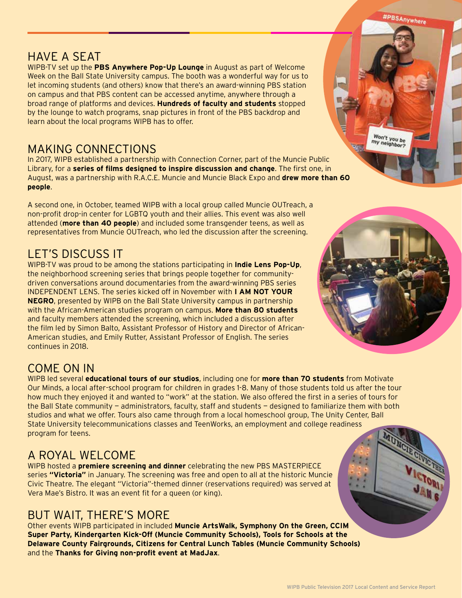#PBSAnywhere

#### HAVE A SEAT

WIPB-TV set up the **PBS Anywhere Pop-Up Lounge** in August as part of Welcome Week on the Ball State University campus. The booth was a wonderful way for us to let incoming students (and others) know that there's an award-winning PBS station on campus and that PBS content can be accessed anytime, anywhere through a broad range of platforms and devices. **Hundreds of faculty and students** stopped by the lounge to watch programs, snap pictures in front of the PBS backdrop and learn about the local programs WIPB has to offer.

#### MAKING CONNECTIONS

In 2017, WIPB established a partnership with Connection Corner, part of the Muncie Public Library, for a **series of films designed to inspire discussion and change**. The first one, in August, was a partnership with R.A.C.E. Muncie and Muncie Black Expo and **drew more than 60 people**.

A second one, in October, teamed WIPB with a local group called Muncie OUTreach, a non-profit drop-in center for LGBTQ youth and their allies. This event was also well attended (**more than 40 people**) and included some transgender teens, as well as representatives from Muncie OUTreach, who led the discussion after the screening.

#### LET'S DISCUSS IT

WIPB-TV was proud to be among the stations participating in **Indie Lens Pop-Up**, the neighborhood screening series that brings people together for communitydriven conversations around documentaries from the award-winning PBS series INDEPENDENT LENS. The series kicked off in November with **I AM NOT YOUR NEGRO**, presented by WIPB on the Ball State University campus in partnership with the African-American studies program on campus. **More than 80 students** and faculty members attended the screening, which included a discussion after the film led by Simon Balto, Assistant Professor of History and Director of African-American studies, and Emily Rutter, Assistant Professor of English. The series continues in 2018.



Won't you be<br>my neighbor?

#### COME ON IN

WIPB led several **educational tours of our studios**, including one for **more than 70 students** from Motivate Our Minds, a local after-school program for children in grades 1-8. Many of those students told us after the tour how much they enjoyed it and wanted to "work" at the station. We also offered the first in a series of tours for the Ball State community — administrators, faculty, staff and students — designed to familiarize them with both studios and what we offer. Tours also came through from a local homeschool group, The Unity Center, Ball State University telecommunications classes and TeenWorks, an employment and college readiness program for teens.

#### A ROYAL WELCOME

WIPB hosted a **premiere screening and dinner** celebrating the new PBS MASTERPIECE series **"Victoria"** in January. The screening was free and open to all at the historic Muncie Civic Theatre. The elegant "Victoria"-themed dinner (reservations required) was served at Vera Mae's Bistro. It was an event fit for a queen (or king).

#### BUT WAIT, THERE'S MORE

Other events WIPB participated in included **Muncie ArtsWalk, Symphony On the Green, CCIM Super Party, Kindergarten Kick-Off (Muncie Community Schools), Tools for Schools at the Delaware County Fairgrounds, Citizens for Central Lunch Tables (Muncie Community Schools)**  and the **Thanks for Giving non-profit event at MadJax**.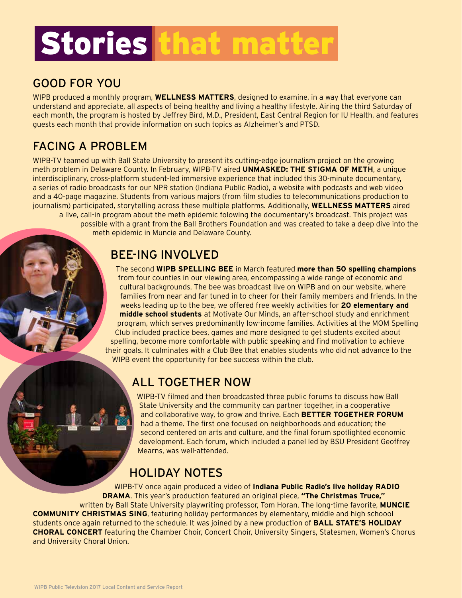## Stories that matter

#### GOOD FOR YOU

WIPB produced a monthly program, **WELLNESS MATTERS**, designed to examine, in a way that everyone can understand and appreciate, all aspects of being healthy and living a healthy lifestyle. Airing the third Saturday of each month, the program is hosted by Jeffrey Bird, M.D., President, East Central Region for IU Health, and features guests each month that provide information on such topics as Alzheimer's and PTSD.

#### FACING A PROBLEM

WIPB-TV teamed up with Ball State University to present its cutting-edge journalism project on the growing meth problem in Delaware County. In February, WIPB-TV aired **UNMASKED: THE STIGMA OF METH**, a unique interdisciplinary, cross-platform student-led immersive experience that included this 30-minute documentary, a series of radio broadcasts for our NPR station (Indiana Public Radio), a website with podcasts and web video and a 40-page magazine. Students from various majors (from film studies to telecommunications production to journalism) participated, storytelling across these multiple platforms. Additionally, **WELLNESS MATTERS** aired a live, call-in program about the meth epidemic folowing the documentary's broadcast. This project was possible with a grant from the Ball Brothers Foundation and was created to take a deep dive into the meth epidemic in Muncie and Delaware County.

#### BEE-ING INVOLVED

The second **WIPB SPELLING BEE** in March featured **more than 50 spelling champions** from four counties in our viewing area, encompassing a wide range of economic and cultural backgrounds. The bee was broadcast live on WIPB and on our website, where families from near and far tuned in to cheer for their family members and friends. In the weeks leading up to the bee, we offered free weekly activities for **20 elementary and middle school students** at Motivate Our Minds, an after-school study and enrichment program, which serves predominantly low-income families. Activities at the MOM Spelling Club included practice bees, games and more designed to get students excited about spelling, become more comfortable with public speaking and find motivation to achieve their goals. It culminates with a Club Bee that enables students who did not advance to the WIPB event the opportunity for bee success within the club.

#### ALL TOGETHER NOW

WIPB-TV filmed and then broadcasted three public forums to discuss how Ball State University and the community can partner together, in a cooperative and collaborative way, to grow and thrive. Each **BETTER TOGETHER FORUM** had a theme. The first one focused on neighborhoods and education; the second centered on arts and culture, and the final forum spotlighted economic development. Each forum, which included a panel led by BSU President Geoffrey Mearns, was well-attended.

#### HOLIDAY NOTES

WIPB-TV once again produced a video of **Indiana Public Radio's live holiday RADIO DRAMA**. This year's production featured an original piece, **"The Christmas Truce,"** written by Ball State University playwriting professor, Tom Horan. The long-time favorite, **MUNCIE COMMUNITY CHRISTMAS SING**, featuring holiday performances by elementary, middle and high schoool students once again returned to the schedule. It was joined by a new production of **BALL STATE'S HOLIDAY CHORAL CONCERT** featuring the Chamber Choir, Concert Choir, University Singers, Statesmen, Women's Chorus and University Choral Union.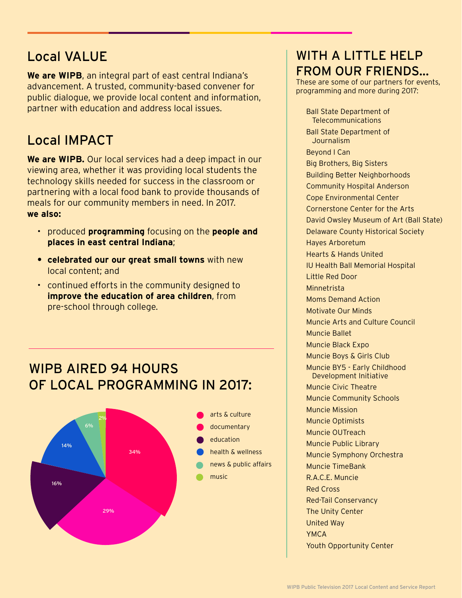#### Local VALUE

**We are WIPB**, an integral part of east central Indiana's advancement. A trusted, community-based convener for public dialogue, we provide local content and information, partner with education and address local issues.

#### Local IMPACT

**We are WIPB.** Our local services had a deep impact in our viewing area, whether it was providing local students the technology skills needed for success in the classroom or partnering with a local food bank to provide thousands of meals for our community members in need. In 2017. **we also:**

- produced **programming** focusing on the **people and places in east central Indiana**;
- **• celebrated our our great small towns** with new local content; and
- continued efforts in the community designed to **improve the education of area children**, from pre-school through college.

#### WIPB AIRED 94 HOURS OF LOCAL PROGRAMMING IN 2017:



#### WITH A LITTLE HELP FROM OUR FRIENDS...

These are some of our partners for events, programming and more during 2017:

Ball State Department of Telecommunications Ball State Department of **Journalism** Beyond I Can Big Brothers, Big Sisters Building Better Neighborhoods Community Hospital Anderson Cope Environmental Center Cornerstone Center for the Arts David Owsley Museum of Art (Ball State) Delaware County Historical Society Hayes Arboretum Hearts & Hands United IU Health Ball Memorial Hospital Little Red Door Minnetrista Moms Demand Action Motivate Our Minds Muncie Arts and Culture Council Muncie Ballet Muncie Black Expo Muncie Boys & Girls Club Muncie BY5 - Early Childhood Development Initiative Muncie Civic Theatre Muncie Community Schools Muncie Mission Muncie Optimists Muncie OUTreach Muncie Public Library Muncie Symphony Orchestra Muncie TimeBank R.A.C.E. Muncie Red Cross Red-Tail Conservancy The Unity Center United Way YMCA Youth Opportunity Center